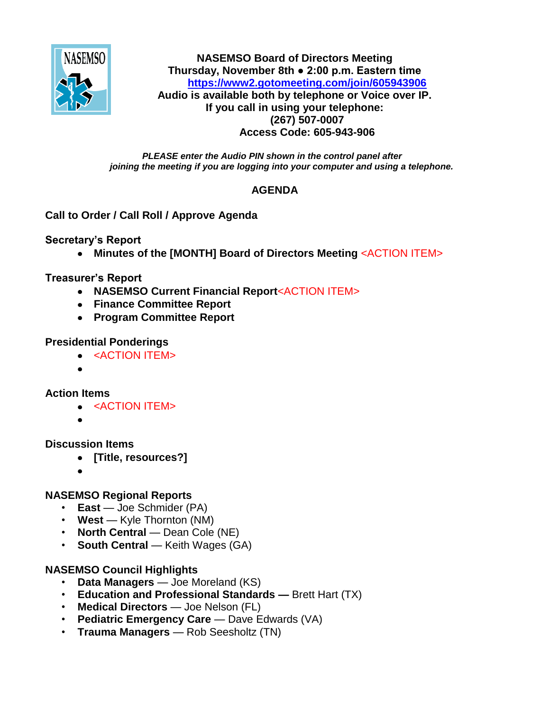

**NASEMSO Board of Directors Meeting Thursday, November 8th ● 2:00 p.m. Eastern time <https://www2.gotomeeting.com/join/605943906> Audio is available both by telephone or Voice over IP. If you call in using your telephone: (267) 507-0007 Access Code: 605-943-906**

#### *PLEASE enter the Audio PIN shown in the control panel after joining the meeting if you are logging into your computer and using a telephone.*

## **AGENDA**

## **Call to Order / Call Roll / Approve Agenda**

**Secretary's Report**

**Minutes of the [MONTH] Board of Directors Meeting** <ACTION ITEM>

# **Treasurer's Report**

- **NASEMSO Current Financial Report**<ACTION ITEM>
- **Finance Committee Report**
- **Program Committee Report**

### **Presidential Ponderings**

- <ACTION ITEM>
- 

# **Action Items**

- <ACTION ITEM>
- 

### **Discussion Items**

- **[Title, resources?]**  $\bullet$
- 

# **NASEMSO Regional Reports**

- **East** Joe Schmider (PA)
- **West** Kyle Thornton (NM)
- **North Central** Dean Cole (NE)
- **South Central** Keith Wages (GA)

# **NASEMSO Council Highlights**

- **Data Managers** Joe Moreland (KS)
- **Education and Professional Standards —** Brett Hart (TX)
- **Medical Directors** Joe Nelson (FL)
- **Pediatric Emergency Care** Dave Edwards (VA)
- **Trauma Managers** Rob Seesholtz (TN)